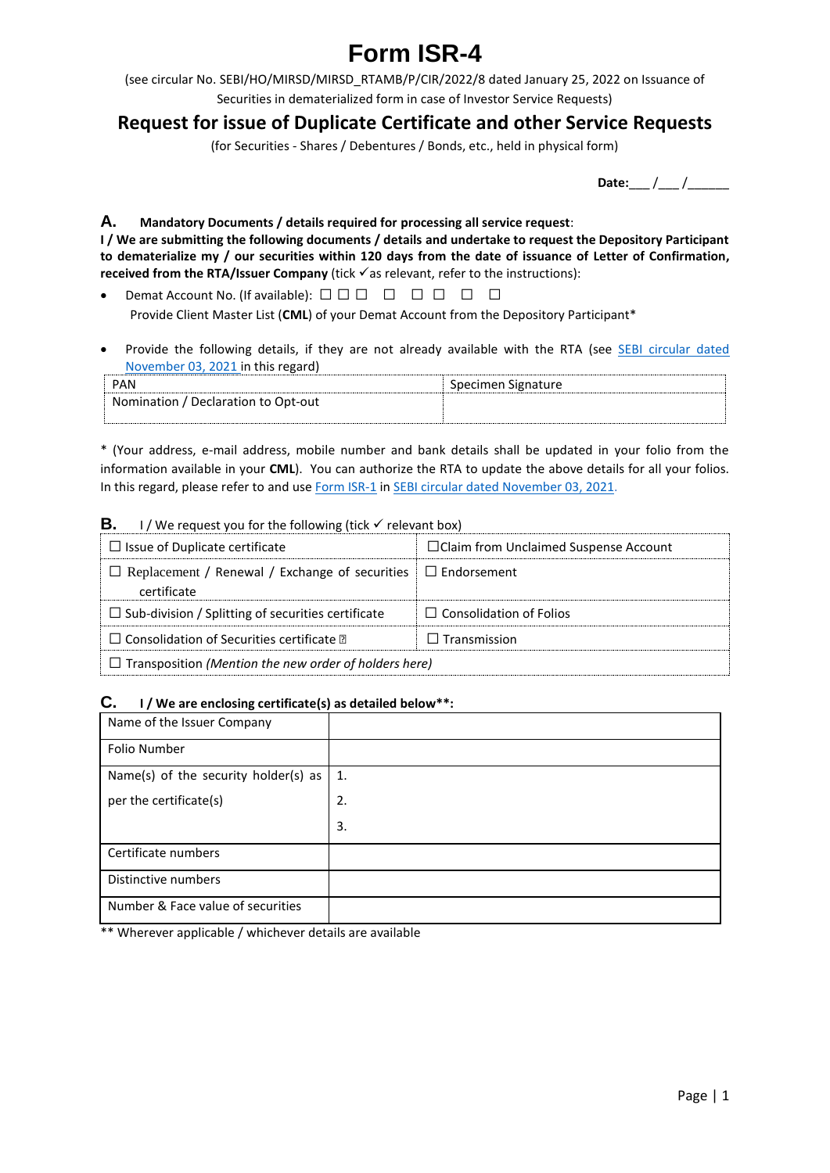# **Form ISR-4**

(see circular No. SEBI/HO/MIRSD/MIRSD\_RTAMB/P/CIR/2022/8 dated January 25, 2022 on Issuance of Securities in dematerialized form in case of Investor Service Requests)

# **Request for issue of Duplicate Certificate and other Service Requests**

(for Securities - Shares / Debentures / Bonds, etc., held in physical form)

**Date:** / /

# **A. Mandatory Documents / details required for processing all service request**:

**I / We are submitting the following documents / details and undertake to request the Depository Participant to dematerialize my / our securities within 120 days from the date of issuance of Letter of Confirmation, received from the RTA/Issuer Company** (tick  $\checkmark$  as relevant, refer to the instructions):

- Demat Account No. (If available):  $\Box$   $\Box$   $\Box$   $\Box$   $\Box$   $\Box$   $\Box$ Provide Client Master List (**CML**) of your Demat Account from the Depository Participant\*
- Provide the following details, if they are not already available with the RTA (see SEBI circular dated [November 03, 2021](https://www.sebi.gov.in/legal/circulars/nov-2021/common-and-simplified-norms-for-processing-investor-s-service-request-by-rtas-and-norms-for-furnishing-pan-kyc-details-and-nomination_53787.html) in this regard)

| <b>PAN</b>                          | Specimen Signature |
|-------------------------------------|--------------------|
| Nomination / Declaration to Opt-out |                    |
|                                     |                    |

\* (Your address, e-mail address, mobile number and bank details shall be updated in your folio from the information available in your **CML**). You can authorize the RTA to update the above details for all your folios. In this regard, please refer to and use [Form ISR-1](https://www.sebi.gov.in/sebi_data/commondocs/dec-2021/pdf%20Form%20ISR-1%20(1)_p.pdf) i[n SEBI circular dated November 03, 2021.](https://www.sebi.gov.in/legal/circulars/nov-2021/common-and-simplified-norms-for-processing-investor-s-service-request-by-rtas-and-norms-for-furnishing-pan-kyc-details-and-nomination_53787.html)

# **B.** I / We request you for the following (tick  $\checkmark$  relevant box)

| $\Box$ Issue of Duplicate certificate                                                   | $\Box$ Claim from Unclaimed Suspense Account |  |  |
|-----------------------------------------------------------------------------------------|----------------------------------------------|--|--|
| $\Box$ Replacement / Renewal / Exchange of securities $\Box$ Endorsement<br>certificate |                                              |  |  |
| $\Box$ Sub-division / Splitting of securities certificate                               | $\Box$ Consolidation of Folios               |  |  |
| $\Box$ Consolidation of Securities certificate $\Box$                                   | $\Box$ Transmission                          |  |  |
| $\Box$ Transposition (Mention the new order of holders here)                            |                                              |  |  |

# **C. I / We are enclosing certificate(s) as detailed below\*\*:**

| Name of the Issuer Company           |    |
|--------------------------------------|----|
| Folio Number                         |    |
| Name(s) of the security holder(s) as | 1. |
| per the certificate(s)               | 2. |
|                                      | 3. |
| Certificate numbers                  |    |
| Distinctive numbers                  |    |
| Number & Face value of securities    |    |

\*\* Wherever applicable / whichever details are available